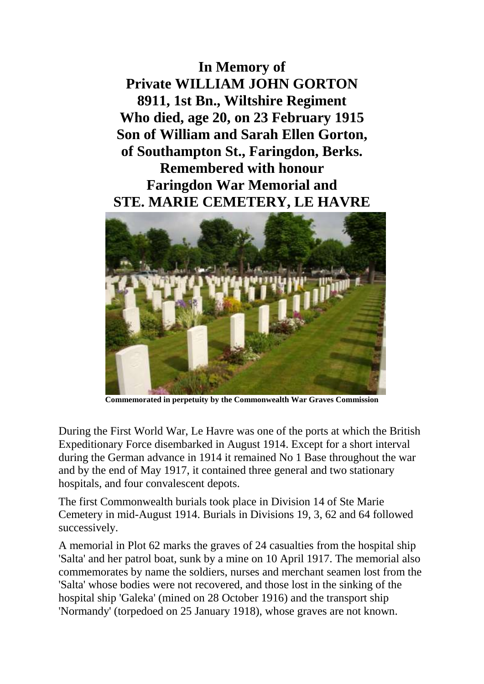**In Memory of Private WILLIAM JOHN GORTON 8911, 1st Bn., Wiltshire Regiment Who died, age 20, on 23 February 1915 Son of William and Sarah Ellen Gorton, of Southampton St., Faringdon, Berks. Remembered with honour Faringdon War Memorial and STE. MARIE CEMETERY, LE HAVRE**



**Commemorated in perpetuity by the Commonwealth War Graves Commission**

During the First World War, Le Havre was one of the ports at which the British Expeditionary Force disembarked in August 1914. Except for a short interval during the German advance in 1914 it remained No 1 Base throughout the war and by the end of May 1917, it contained three general and two stationary hospitals, and four convalescent depots.

The first Commonwealth burials took place in Division 14 of Ste Marie Cemetery in mid-August 1914. Burials in Divisions 19, 3, 62 and 64 followed successively.

A memorial in Plot 62 marks the graves of 24 casualties from the hospital ship 'Salta' and her patrol boat, sunk by a mine on 10 April 1917. The memorial also commemorates by name the soldiers, nurses and merchant seamen lost from the 'Salta' whose bodies were not recovered, and those lost in the sinking of the hospital ship 'Galeka' (mined on 28 October 1916) and the transport ship 'Normandy' (torpedoed on 25 January 1918), whose graves are not known.